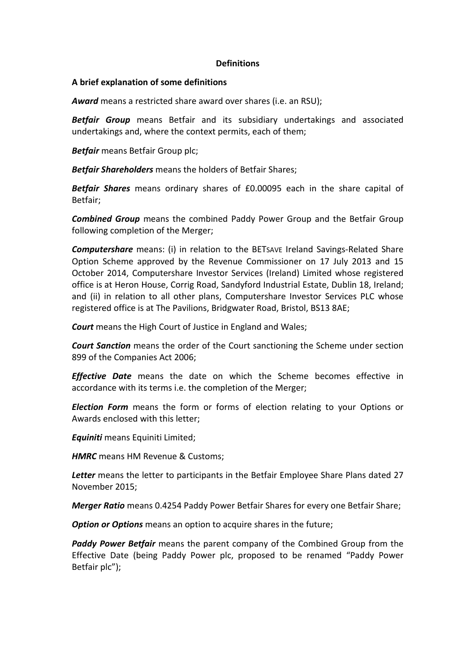## **Definitions**

## **A brief explanation of some definitions**

*Award* means a restricted share award over shares (i.e. an RSU);

*Betfair Group* means Betfair and its subsidiary undertakings and associated undertakings and, where the context permits, each of them;

*Betfair* means Betfair Group plc;

*Betfair Shareholders* means the holders of Betfair Shares;

*Betfair Shares* means ordinary shares of £0.00095 each in the share capital of Betfair;

*Combined Group* means the combined Paddy Power Group and the Betfair Group following completion of the Merger;

*Computershare* means: (i) in relation to the BETSAVE Ireland Savings-Related Share Option Scheme approved by the Revenue Commissioner on 17 July 2013 and 15 October 2014, Computershare Investor Services (Ireland) Limited whose registered office is at Heron House, Corrig Road, Sandyford Industrial Estate, Dublin 18, Ireland; and (ii) in relation to all other plans, Computershare Investor Services PLC whose registered office is at The Pavilions, Bridgwater Road, Bristol, BS13 8AE;

*Court* means the High Court of Justice in England and Wales;

*Court Sanction* means the order of the Court sanctioning the Scheme under section 899 of the Companies Act 2006;

*Effective Date* means the date on which the Scheme becomes effective in accordance with its terms i.e. the completion of the Merger;

*Election Form* means the form or forms of election relating to your Options or Awards enclosed with this letter;

*Equiniti* means Equiniti Limited;

**HMRC** means HM Revenue & Customs;

*Letter* means the letter to participants in the Betfair Employee Share Plans dated 27 November 2015;

*Merger Ratio* means 0.4254 Paddy Power Betfair Shares for every one Betfair Share;

**Option or Options** means an option to acquire shares in the future;

*Paddy Power Betfair* means the parent company of the Combined Group from the Effective Date (being Paddy Power plc, proposed to be renamed "Paddy Power Betfair plc");